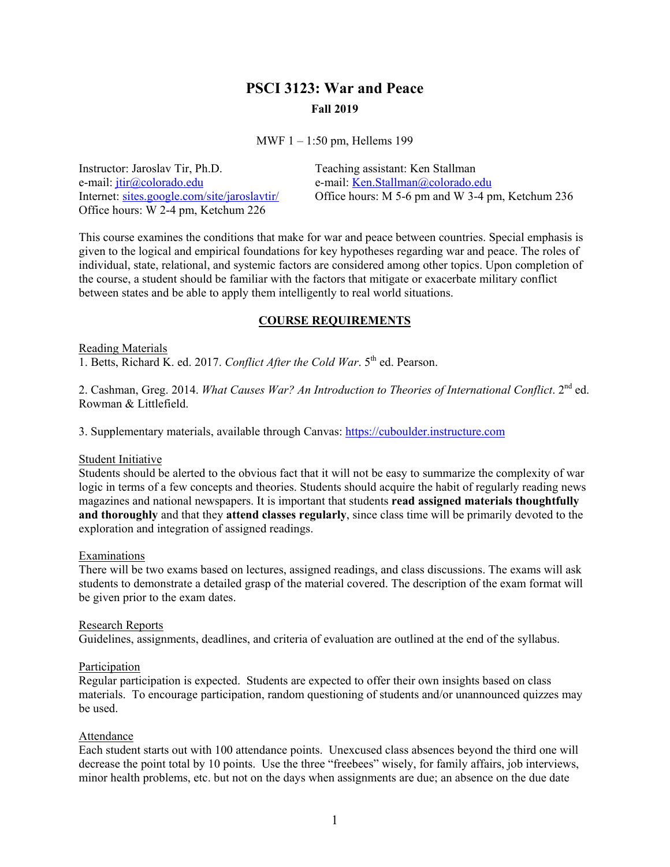# **PSCI 3123: War and Peace Fall 2019**

MWF 1 – 1:50 pm, Hellems 199

Instructor: Jaroslav Tir, Ph.D. Teaching assistant: Ken Stallman e-mail: <u>jtir@colorado.edu</u> e-mail: <u>[Ken.Stallman@colorado.edu](mailto:Ken.Stallman@colorado.edu)</u><br>Internet: sites.google.com/site/jaroslavtir/ Office hours: M 5-6 pm and W 3-4 pm Office hours: M 5-6 pm and W 3-4 pm, Ketchum 236 Office hours: W 2-4 pm, Ketchum 226

This course examines the conditions that make for war and peace between countries. Special emphasis is given to the logical and empirical foundations for key hypotheses regarding war and peace. The roles of individual, state, relational, and systemic factors are considered among other topics. Upon completion of the course, a student should be familiar with the factors that mitigate or exacerbate military conflict between states and be able to apply them intelligently to real world situations.

### **COURSE REQUIREMENTS**

Reading Materials 1. Betts, Richard K. ed. 2017. *Conflict After the Cold War*. 5<sup>th</sup> ed. Pearson.

2. Cashman, Greg. 2014. *What Causes War? An Introduction to Theories of International Conflict*. 2<sup>nd</sup> ed. Rowman & Littlefield.

3. Supplementary materials, available through Canvas: [https://cuboulder.instructure.com](https://cuboulder.instructure.com/)

#### Student Initiative

Students should be alerted to the obvious fact that it will not be easy to summarize the complexity of war logic in terms of a few concepts and theories. Students should acquire the habit of regularly reading news magazines and national newspapers. It is important that students **read assigned materials thoughtfully and thoroughly** and that they **attend classes regularly**, since class time will be primarily devoted to the exploration and integration of assigned readings.

#### Examinations

There will be two exams based on lectures, assigned readings, and class discussions. The exams will ask students to demonstrate a detailed grasp of the material covered. The description of the exam format will be given prior to the exam dates.

#### Research Reports

Guidelines, assignments, deadlines, and criteria of evaluation are outlined at the end of the syllabus.

#### Participation

Regular participation is expected. Students are expected to offer their own insights based on class materials. To encourage participation, random questioning of students and/or unannounced quizzes may be used.

# Attendance

Each student starts out with 100 attendance points. Unexcused class absences beyond the third one will decrease the point total by 10 points. Use the three "freebees" wisely, for family affairs, job interviews, minor health problems, etc. but not on the days when assignments are due; an absence on the due date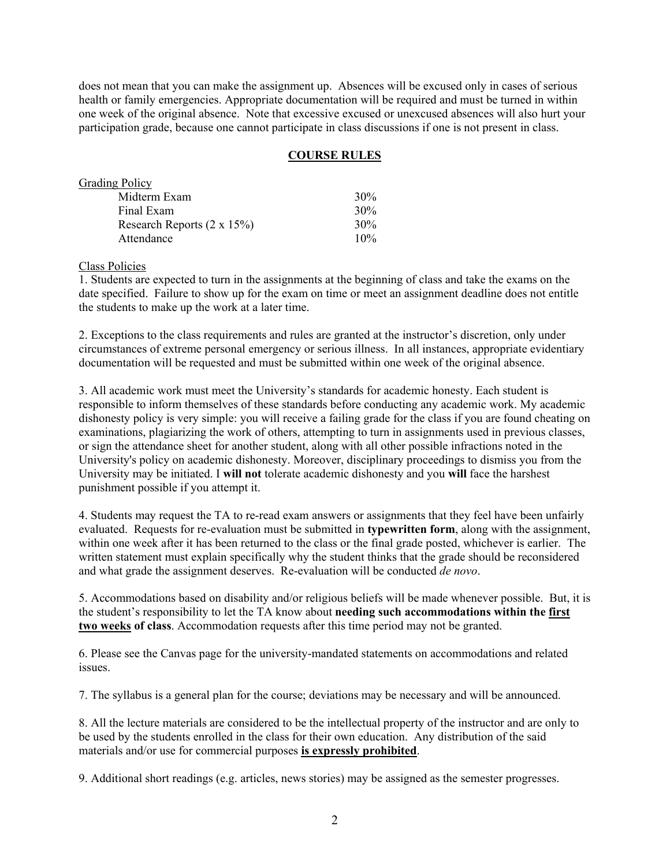does not mean that you can make the assignment up. Absences will be excused only in cases of serious health or family emergencies. Appropriate documentation will be required and must be turned in within one week of the original absence. Note that excessive excused or unexcused absences will also hurt your participation grade, because one cannot participate in class discussions if one is not present in class.

# **COURSE RULES**

| <b>Grading Policy</b>              |        |
|------------------------------------|--------|
| Midterm Exam                       | 30%    |
| Final Exam                         | 30%    |
| Research Reports $(2 \times 15\%)$ | 30%    |
| Attendance                         | $10\%$ |

Class Policies

1. Students are expected to turn in the assignments at the beginning of class and take the exams on the date specified. Failure to show up for the exam on time or meet an assignment deadline does not entitle the students to make up the work at a later time.

2. Exceptions to the class requirements and rules are granted at the instructor's discretion, only under circumstances of extreme personal emergency or serious illness. In all instances, appropriate evidentiary documentation will be requested and must be submitted within one week of the original absence.

3. All academic work must meet the University's standards for academic honesty. Each student is responsible to inform themselves of these standards before conducting any academic work. My academic dishonesty policy is very simple: you will receive a failing grade for the class if you are found cheating on examinations, plagiarizing the work of others, attempting to turn in assignments used in previous classes, or sign the attendance sheet for another student, along with all other possible infractions noted in the University's policy on academic dishonesty. Moreover, disciplinary proceedings to dismiss you from the University may be initiated. I **will not** tolerate academic dishonesty and you **will** face the harshest punishment possible if you attempt it.

4. Students may request the TA to re-read exam answers or assignments that they feel have been unfairly evaluated. Requests for re-evaluation must be submitted in **typewritten form**, along with the assignment, within one week after it has been returned to the class or the final grade posted, whichever is earlier. The written statement must explain specifically why the student thinks that the grade should be reconsidered and what grade the assignment deserves. Re-evaluation will be conducted *de novo*.

5. Accommodations based on disability and/or religious beliefs will be made whenever possible. But, it is the student's responsibility to let the TA know about **needing such accommodations within the first two weeks of class**. Accommodation requests after this time period may not be granted.

6. Please see the Canvas page for the university-mandated statements on accommodations and related issues.

7. The syllabus is a general plan for the course; deviations may be necessary and will be announced.

8. All the lecture materials are considered to be the intellectual property of the instructor and are only to be used by the students enrolled in the class for their own education. Any distribution of the said materials and/or use for commercial purposes **is expressly prohibited**.

9. Additional short readings (e.g. articles, news stories) may be assigned as the semester progresses.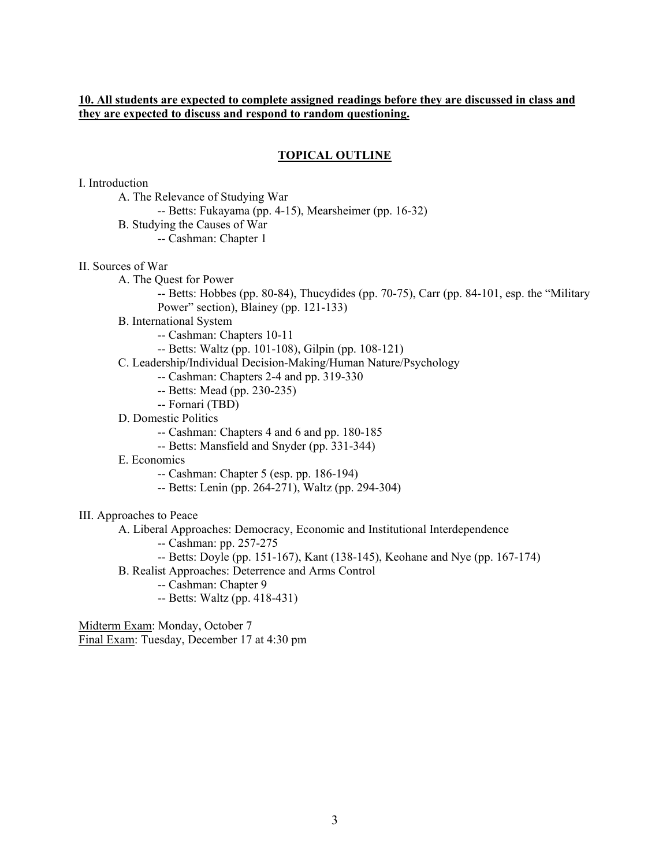# **10. All students are expected to complete assigned readings before they are discussed in class and they are expected to discuss and respond to random questioning.**

#### **TOPICAL OUTLINE**

I. Introduction

- A. The Relevance of Studying War
	- -- Betts: Fukayama (pp. 4-15), Mearsheimer (pp. 16-32)
- B. Studying the Causes of War
	- -- Cashman: Chapter 1

II. Sources of War

- A. The Quest for Power
	- -- Betts: Hobbes (pp. 80-84), Thucydides (pp. 70-75), Carr (pp. 84-101, esp. the "Military Power" section), Blainey (pp. 121-133)
- B. International System
	- -- Cashman: Chapters 10-11
	- -- Betts: Waltz (pp. 101-108), Gilpin (pp. 108-121)
- C. Leadership/Individual Decision-Making/Human Nature/Psychology
	- -- Cashman: Chapters 2-4 and pp. 319-330
	- -- Betts: Mead (pp. 230-235)
	- -- Fornari (TBD)
- D. Domestic Politics
	- -- Cashman: Chapters 4 and 6 and pp. 180-185
	- -- Betts: Mansfield and Snyder (pp. 331-344)
- E. Economics
	- -- Cashman: Chapter 5 (esp. pp. 186-194)
	- -- Betts: Lenin (pp. 264-271), Waltz (pp. 294-304)

III. Approaches to Peace

A. Liberal Approaches: Democracy, Economic and Institutional Interdependence

- -- Cashman: pp. 257-275
- -- Betts: Doyle (pp. 151-167), Kant (138-145), Keohane and Nye (pp. 167-174)
- B. Realist Approaches: Deterrence and Arms Control
	- -- Cashman: Chapter 9
	- -- Betts: Waltz (pp. 418-431)

Midterm Exam: Monday, October 7 Final Exam: Tuesday, December 17 at 4:30 pm